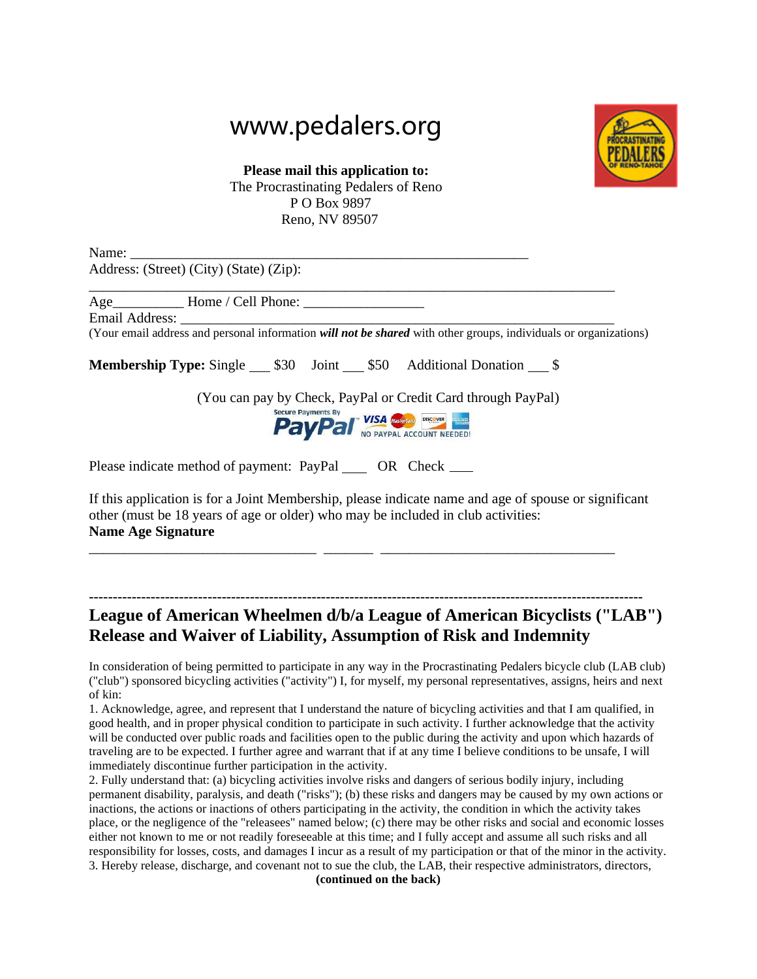## www.pedalers.org



**Please mail this application to:** The Procrastinating Pedalers of Reno P O Box 9897 Reno, NV 89507

Name: Address: (Street) (City) (State) (Zip):

\_\_\_\_\_\_\_\_\_\_\_\_\_\_\_\_\_\_\_\_\_\_\_\_\_\_\_\_\_\_\_\_\_\_\_\_\_\_\_\_\_\_\_\_\_\_\_\_\_\_\_\_\_\_\_\_\_\_\_\_\_\_\_\_\_\_\_\_\_\_\_\_\_\_ Age Home / Cell Phone:

Email Address:

(Your email address and personal information *will not be shared* with other groups, individuals or organizations)

**Membership Type:** Single 530 Joint 550 Additional Donation  $\frac{\$}{}$ 



Please indicate method of payment: PayPal OR Check \_\_\_\_\_

If this application is for a Joint Membership, please indicate name and age of spouse or significant other (must be 18 years of age or older) who may be included in club activities: **Name Age Signature** 

\_\_\_\_\_\_\_\_\_\_\_\_\_\_\_\_\_\_\_\_\_\_\_\_\_\_\_\_\_\_\_\_ \_\_\_\_\_\_\_ \_\_\_\_\_\_\_\_\_\_\_\_\_\_\_\_\_\_\_\_\_\_\_\_\_\_\_\_\_\_\_\_\_

## **--------------------------------------------------------------------------------------------------------------------- League of American Wheelmen d/b/a League of American Bicyclists ("LAB") Release and Waiver of Liability, Assumption of Risk and Indemnity**

In consideration of being permitted to participate in any way in the Procrastinating Pedalers bicycle club (LAB club) ("club") sponsored bicycling activities ("activity") I, for myself, my personal representatives, assigns, heirs and next of kin:

1. Acknowledge, agree, and represent that I understand the nature of bicycling activities and that I am qualified, in good health, and in proper physical condition to participate in such activity. I further acknowledge that the activity will be conducted over public roads and facilities open to the public during the activity and upon which hazards of traveling are to be expected. I further agree and warrant that if at any time I believe conditions to be unsafe, I will immediately discontinue further participation in the activity.

2. Fully understand that: (a) bicycling activities involve risks and dangers of serious bodily injury, including permanent disability, paralysis, and death ("risks"); (b) these risks and dangers may be caused by my own actions or inactions, the actions or inactions of others participating in the activity, the condition in which the activity takes place, or the negligence of the "releasees" named below; (c) there may be other risks and social and economic losses either not known to me or not readily foreseeable at this time; and I fully accept and assume all such risks and all responsibility for losses, costs, and damages I incur as a result of my participation or that of the minor in the activity. 3. Hereby release, discharge, and covenant not to sue the club, the LAB, their respective administrators, directors,

**(continued on the back)**